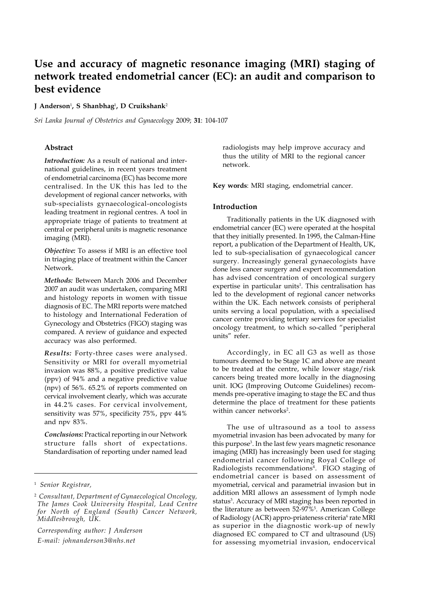# **Use and accuracy of magnetic resonance imaging (MRI) staging of network treated endometrial cancer (EC): an audit and comparison to best evidence**

#### **J Anderson**<sup>1</sup> **, S Shanbhag**<sup>1</sup> **, D Cruikshank**<sup>2</sup>

*Sri Lanka Journal of Obstetrics and Gynaecology* 2009; **31**: 104-107

# **Abstract**

*Introduction:* As a result of national and international guidelines, in recent years treatment of endometrial carcinoma (EC) has become more centralised. In the UK this has led to the development of regional cancer networks, with sub-specialists gynaecological-oncologists leading treatment in regional centres. A tool in appropriate triage of patients to treatment at central or peripheral units is magnetic resonance imaging (MRI).

*Objective:* To assess if MRI is an effective tool in triaging place of treatment within the Cancer Network.

*Methods:* Between March 2006 and December 2007 an audit was undertaken, comparing MRI and histology reports in women with tissue diagnosis of EC. The MRI reports were matched to histology and International Federation of Gynecology and Obstetrics (FIGO) staging was compared. A review of guidance and expected accuracy was also performed.

*Results:* Forty-three cases were analysed. Sensitivity or MRI for overall myometrial invasion was 88%, a positive predictive value (ppv) of 94% and a negative predictive value (npv) of 56%. 65.2% of reports commented on cervical involvement clearly, which was accurate in 44.2% cases. For cervical involvement, sensitivity was 57%, specificity 75%, ppv 44% and npv 83%.

*Conclusions:* Practical reporting in our Network structure falls short of expectations. Standardisation of reporting under named lead

*Corresponding author: J Anderson E-mail: johnanderson3@nhs.net*

radiologists may help improve accuracy and thus the utility of MRI to the regional cancer network.

**Key words**: MRI staging, endometrial cancer.

#### **Introduction**

Traditionally patients in the UK diagnosed with endometrial cancer (EC) were operated at the hospital that they initially presented. In 1995, the Calman-Hine report, a publication of the Department of Health, UK, led to sub-specialisation of gynaecological cancer surgery. Increasingly general gynaecologists have done less cancer surgery and expert recommendation has advised concentration of oncological surgery expertise in particular units<sup>1</sup>. This centralisation has led to the development of regional cancer networks within the UK. Each network consists of peripheral units serving a local population, with a specialised cancer centre providing tertiary services for specialist oncology treatment, to which so-called "peripheral units" refer.

Accordingly, in EC all G3 as well as those tumours deemed to be Stage 1C and above are meant to be treated at the centre, while lower stage/risk cancers being treated more locally in the diagnosing unit. IOG (Improving Outcome Guidelines) recommends pre-operative imaging to stage the EC and thus determine the place of treatment for these patients within cancer networks<sup>2</sup>.

The use of ultrasound as a tool to assess myometrial invasion has been advocated by many for this purpose<sup>3</sup>. In the last few years magnetic resonance imaging (MRI) has increasingly been used for staging endometrial cancer following Royal College of Radiologists recommendations<sup>4</sup>. FIGO staging of endometrial cancer is based on assessment of myometrial, cervical and parametrial invasion but in addition MRI allows an assessment of lymph node status<sup>3</sup>. Accuracy of MRI staging has been reported in the literature as between 52-97%<sup>5</sup>. American College of Radiology (ACR) appro-priateness criteria<sup>6</sup> rate MRI as superior in the diagnostic work-up of newly diagnosed EC compared to CT and ultrasound (US) for assessing myometrial invasion, endocervical

<sup>1</sup> *Senior Registrar,*

<sup>2</sup> *Consultant, Department of Gynaecological Oncology, The James Cook University Hospital, Lead Centre for North of England (South) Cancer Network, Middlesbrough, UK.*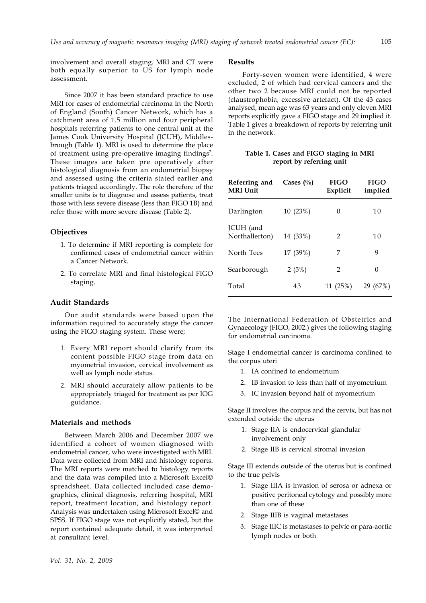involvement and overall staging. MRI and CT were both equally superior to US for lymph node assessment.

Since 2007 it has been standard practice to use MRI for cases of endometrial carcinoma in the North of England (South) Cancer Network, which has a catchment area of 1.5 million and four peripheral hospitals referring patients to one central unit at the James Cook University Hospital (JCUH), Middlesbrough (Table 1). MRI is used to determine the place of treatment using pre-operative imaging findings<sup>7</sup>. These images are taken pre operatively after histological diagnosis from an endometrial biopsy and assessed using the criteria stated earlier and patients triaged accordingly. The role therefore of the smaller units is to diagnose and assess patients, treat those with less severe disease (less than FIGO 1B) and refer those with more severe disease (Table 2).

## **Objectives**

- 1. To determine if MRI reporting is complete for confirmed cases of endometrial cancer within a Cancer Network.
- 2. To correlate MRI and final histological FIGO staging.

## **Audit Standards**

Our audit standards were based upon the information required to accurately stage the cancer using the FIGO staging system. These were;

- 1. Every MRI report should clarify from its content possible FIGO stage from data on myometrial invasion, cervical involvement as well as lymph node status.
- 2. MRI should accurately allow patients to be appropriately triaged for treatment as per IOG guidance.

#### **Materials and methods**

Between March 2006 and December 2007 we identified a cohort of women diagnosed with endometrial cancer, who were investigated with MRI. Data were collected from MRI and histology reports. The MRI reports were matched to histology reports and the data was compiled into a Microsoft Excel© spreadsheet. Data collected included case demographics, clinical diagnosis, referring hospital, MRI report, treatment location, and histology report. Analysis was undertaken using Microsoft Excel© and SPSS. If FIGO stage was not explicitly stated, but the report contained adequate detail, it was interpreted at consultant level.

#### **Results**

Forty-seven women were identified, 4 were excluded, 2 of which had cervical cancers and the other two 2 because MRI could not be reported (claustrophobia, excessive artefact). Of the 43 cases analysed, mean age was 63 years and only eleven MRI reports explicitly gave a FIGO stage and 29 implied it. Table 1 gives a breakdown of reports by referring unit in the network.

**Table 1. Cases and FIGO staging in MRI report by referring unit**

| Referring and<br><b>MRI Unit</b> | Cases $\binom{0}{0}$ | <b>FIGO</b><br>Explicit | <b>FIGO</b><br>implied |  |
|----------------------------------|----------------------|-------------------------|------------------------|--|
| Darlington                       | 10 (23%)             | 0                       | 10                     |  |
| JCUH (and<br>Northallerton)      | 14 (33%)             | $\mathcal{P}$           | 10                     |  |
| North Tees                       | 17 (39%)             | 7                       | 9                      |  |
| Scarborough                      | 2(5%)                | $\mathcal{P}$           | 0                      |  |
| Total                            | 43                   | 11 (25%)                | 29 (67%)               |  |

The International Federation of Obstetrics and Gynaecology (FIGO, 2002.) gives the following staging for endometrial carcinoma.

Stage I endometrial cancer is carcinoma confined to the corpus uteri

- 1. IA confined to endometrium
- 2. IB invasion to less than half of myometrium
- 3. IC invasion beyond half of myometrium

Stage II involves the corpus and the cervix, but has not extended outside the uterus

- 1. Stage IIA is endocervical glandular involvement only
- 2. Stage IIB is cervical stromal invasion

Stage III extends outside of the uterus but is confined to the true pelvis

- 1. Stage IIIA is invasion of serosa or adnexa or positive peritoneal cytology and possibly more than one of these
- 2. Stage IIIB is vaginal metastases
- 3. Stage IIIC is metastases to pelvic or para-aortic lymph nodes or both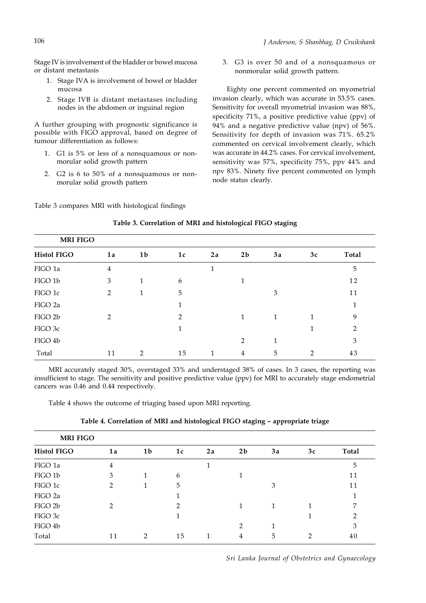Stage IV is involvement of the bladder or bowel mucosa or distant metastasis

- 1. Stage IVA is involvement of bowel or bladder mucosa
- 2. Stage IVB is distant metastases including nodes in the abdomen or inguinal region

A further grouping with prognostic significance is possible with FIGO approval, based on degree of tumour differentiation as follows:

- 1. G1 is 5% or less of a nonsquamous or nonmorular solid growth pattern
- 2. G2 is 6 to 50% of a nonsquamous or nonmorular solid growth pattern

3. G3 is over 50 and of a nonsquamous or nonmorular solid growth pattern.

Eighty one percent commented on myometrial invasion clearly, which was accurate in 53.5% cases. Sensitivity for overall myometrial invasion was 88%, specificity 71%, a positive predictive value (ppv) of 94% and a negative predictive value (npv) of 56%. Sensitivity for depth of invasion was 71%. 65.2% commented on cervical involvement clearly, which was accurate in 44.2% cases. For cervical involvement, sensitivity was 57%, specificity 75%, ppv 44% and npv 83%. Ninety five percent commented on lymph node status clearly.

Table 3 compares MRI with histological findings

| <b>MRI FIGO</b>    |                |                |                |    |                |    |    |              |
|--------------------|----------------|----------------|----------------|----|----------------|----|----|--------------|
| <b>Histol FIGO</b> | 1a             | 1 <sub>b</sub> | 1c             | 2a | 2 <sub>b</sub> | 3a | 3c | <b>Total</b> |
| FIGO 1a            | $\overline{4}$ |                |                | 1  |                |    |    | 5            |
| FIGO 1b            | 3              | 1              | 6              |    |                |    |    | 12           |
| FIGO 1c            | 2              |                | 5              |    |                | 3  |    | 11           |
| FIGO 2a            |                |                | 1              |    |                |    |    | 1            |
| FIGO 2b            | $\mathcal{P}$  |                | $\overline{2}$ |    |                | 1  | 1  | 9            |
| FIGO 3c            |                |                |                |    |                |    |    | 2            |
| FIGO 4b            |                |                |                |    | $\mathcal{P}$  | 1  |    | 3            |
| Total              | 11             | 2              | 15             | 1  | 4              | 5  | っ  | 43           |

#### **Table 3. Correlation of MRI and histological FIGO staging**

MRI accurately staged 30%, overstaged 33% and understaged 38% of cases. In 3 cases, the reporting was insufficient to stage. The sensitivity and positive predictive value (ppv) for MRI to accurately stage endometrial cancers was 0.46 and 0.44 respectively.

Table 4 shows the outcome of triaging based upon MRI reporting.

| <b>MRI FIGO</b>    |               |                |               |    |                |    |    |                |
|--------------------|---------------|----------------|---------------|----|----------------|----|----|----------------|
| <b>Histol FIGO</b> | 1a            | 1 <sub>b</sub> | 1c            | 2a | 2 <sub>b</sub> | 3a | 3c | Total          |
| FIGO 1a            | 4             |                |               |    |                |    |    | 5              |
| FIGO 1b            | 3             | 1              | 6             |    |                |    |    | 11             |
| FIGO 1c            | $\mathcal{P}$ |                | 5             |    |                | 3  |    | 11             |
| FIGO 2a            |               |                |               |    |                |    |    | 1              |
| FIGO 2b            | $\mathcal{P}$ |                | $\mathcal{P}$ |    |                | 1  |    | 7              |
| FIGO 3c            |               |                |               |    |                |    |    | $\overline{2}$ |
| FIGO 4b            |               |                |               |    | $\mathfrak{D}$ | 1  |    | 3              |
| Total              | 11            | $\mathcal{P}$  | 15            |    | 4              | 5  | ∍  | 40             |

**Table 4. Correlation of MRI and histological FIGO staging – appropriate triage**

*Sri Lanka Journal of Obstetrics and Gynaecology*